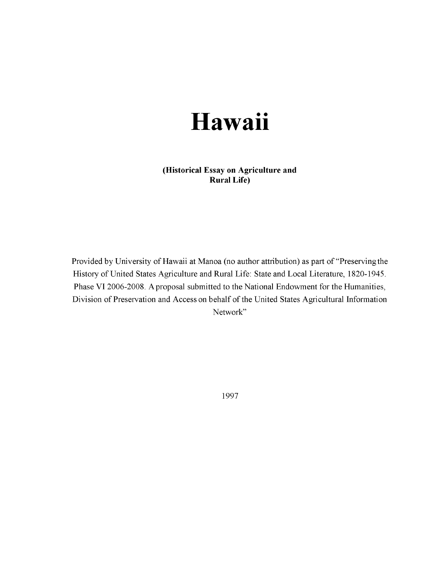## **Hawaii**

**(Historical Essay on Agriculture and Rural Life)**

Provided by University of Hawaii at Manoa (no author attribution) as part of "Preserving the History of United States Agriculture and Rural Life: State and Local Literature, 1820-1945. Phase VI 2006-2008. A proposal submitted to the National Endowment for the Humanities, Division of Preservation and Access on behalf of the United States Agricultural Information Network"

1997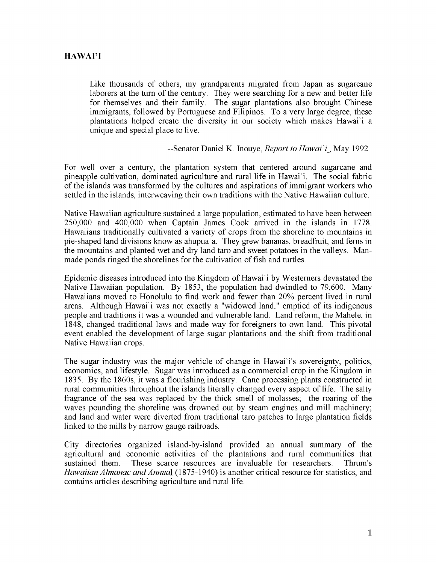## **HAWAI'I**

Like thousands of others, my grandparents migrated from Japan as sugarcane laborers at the turn of the century. They were searching for a new and better life for themselves and their family. The sugar plantations also brought Chinese immigrants, followed by Portuguese and Filipinos. To a very large degree, these plantations helped create the diversity in our society which makes Hawai'i a unique and special place to live.

## --Senator Daniel K. Inouye, *Report to Hawai i*\_, May 1992

For well over a century, the plantation system that centered around sugarcane and pineapple cultivation, dominated agriculture and rural life in Hawai'i. The social fabric of the islands was transformed by the cultures and aspirations of immigrant workers who settled in the islands, interweaving their own traditions with the Native Hawaiian culture.

Native Hawaiian agriculture sustained a large population, estimated to have been between 250,000 and 400,000 when Captain James Cook arrived in the islands in 1778. Hawaiians traditionally cultivated a variety of crops from the shoreline to mountains in pie-shaped land divisions know as ahupua'a. They grew bananas, breadfruit, and ferns in the mountains and planted wet and dry land taro and sweet potatoes in the valleys. Manmade ponds ringed the shorelines for the cultivation of fish and turtles.

Epidemic diseases introduced into the Kingdom of Hawai'i by Westerners devastated the Native Hawaiian population. By 1853, the population had dwindled to 79,600. Many Hawaiians moved to Honolulu to find work and fewer than 20% percent lived in rural areas. Although Hawai'i was not exactly a "widowed land," emptied of its indigenous people and traditions it was a wounded and vulnerable land. Land reform, the Mahele, in 1848, changed traditional laws and made way for foreigners to own land. This pivotal event enabled the development of large sugar plantations and the shift from traditional Native Hawaiian crops.

The sugar industry was the major vehicle of change in Hawai'i's sovereignty, politics, economics, and lifestyle. Sugar was introduced as a commercial crop in the Kingdom in 1835. By the 1860s, it was a flourishing industry. Cane processing plants constructed in rural communities throughout the islands literally changed every aspect of life. The salty fragrance of the sea was replaced by the thick smell of molasses; the roaring of the waves pounding the shoreline was drowned out by steam engines and mill machinery; and land and water were diverted from traditional taro patches to large plantation fields linked to the mills by narrow gauge railroads.

City directories organized island-by-island provided an annual summary of the agricultural and economic activities of the plantations and rural communities that sustained them. These scarce resources are invaluable for researchers. Thrum's *Hawaiian Almanac and Annual* (1875-1940) is another critical resource for statistics, and contains articles describing agriculture and rural life.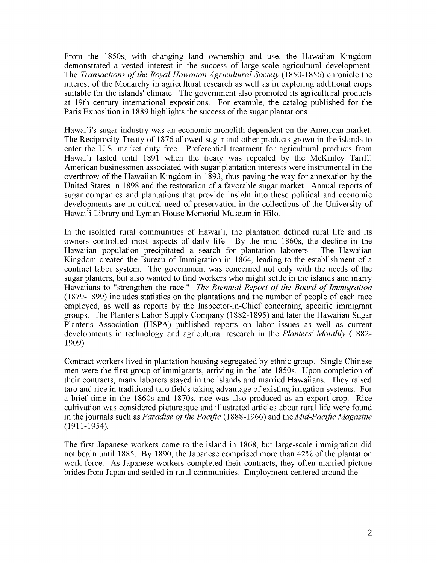From the 1850s, with changing land ownership and use, the Hawaiian Kingdom demonstrated a vested interest in the success of large-scale agricultural development. The *Transactions of the Royal Hawaiian Agricultural Society* (1850-1856) chronicle the interest of the Monarchy in agricultural research as well as in exploring additional crops suitable for the islands' climate. The government also promoted its agricultural products at 19th century international expositions. For example, the catalog published for the Paris Exposition in 1889 highlights the success of the sugar plantations.

Hawai'i's sugar industry was an economic monolith dependent on the American market. The Reciprocity Treaty of 1876 allowed sugar and other products grown in the islands to enter the U.S. market duty free. Preferential treatment for agricultural products from Hawai'i lasted until 1891 when the treaty was repealed by the McKinley Tariff. American businessmen associated with sugar plantation interests were instrumental in the overthrow of the Hawaiian Kingdom in 1893, thus paving the way for annexation by the United States in 1898 and the restoration of a favorable sugar market. Annual reports of sugar companies and plantations that provide insight into these political and economic developments are in critical need of preservation in the collections of the University of Hawai'i Library and Lyman House Memorial Museum in Hilo.

In the isolated rural communities of Hawai'i, the plantation defined rural life and its owners controlled most aspects of daily life. By the mid 1860s, the decline in the Hawaiian population precipitated a search for plantation laborers. The Hawaiian Kingdom created the Bureau of Immigration in 1864, leading to the establishment of a contract labor system. The government was concerned not only with the needs of the sugar planters, but also wanted to find workers who might settle in the islands and marry Hawaiians to "strengthen the race." *The Biennial Report of the Board of Immigration* (1879-1899) includes statistics on the plantations and the number of people of each race employed, as well as reports by the Inspector-in-Chief concerning specific immigrant groups. The Planter's Labor Supply Company (1882-1895) and later the Hawaiian Sugar Planter's Association (HSPA) published reports on labor issues as well as current developments in technology and agricultural research in the *Planters' Monthly* (1882 1909).

Contract workers lived in plantation housing segregated by ethnic group. Single Chinese men were the first group of immigrants, arriving in the late 1850s. Upon completion of their contracts, many laborers stayed in the islands and married Hawaiians. They raised taro and rice in traditional taro fields taking advantage of existing irrigation systems. For a brief time in the 1860s and 1870s, rice was also produced as an export crop. Rice cultivation was considered picturesque and illustrated articles about rural life were found in the journals such as *Paradise of the Pacific* (1888-1966) and the *Mid-Pacific Magazine* (1911-1954).

The first Japanese workers came to the island in 1868, but large-scale immigration did not begin until 1885. By 1890, the Japanese comprised more than 42% of the plantation work force. As Japanese workers completed their contracts, they often married picture brides from Japan and settled in rural communities. Employment centered around the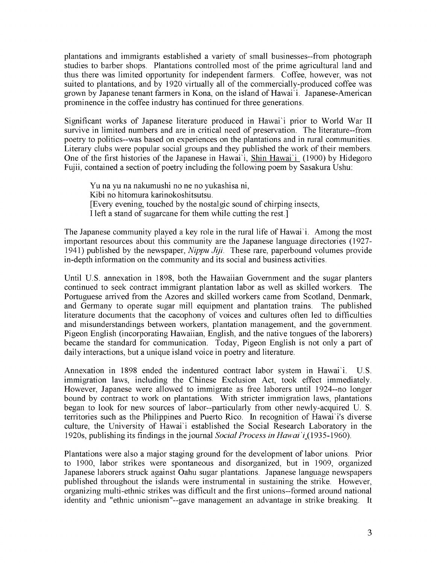plantations and immigrants established a variety of small businesses--from photograph studies to barber shops. Plantations controlled most of the prime agricultural land and thus there was limited opportunity for independent farmers. Coffee, however, was not suited to plantations, and by 1920 virtually all of the commercially-produced coffee was grown by Japanese tenant farmers in Kona, on the island of Hawai'i. Japanese-American prominence in the coffee industry has continued for three generations.

Significant works of Japanese literature produced in Hawai'i prior to World War II survive in limited numbers and are in critical need of preservation. The literature--from poetry to politics--was based on experiences on the plantations and in rural communities. Literary clubs were popular social groups and they published the work of their members. One of the first histories of the Japanese in Hawai'i, Shin Hawai'i (1900) by Hidegoro Fujii, contained a section of poetry including the following poem by Sasakura Ushu:

Yu na yu na nakumushi no ne no yukashisa ni, Kibi no hitomura karinokoshitsutsu. [Every evening, touched by the nostalgic sound of chirping insects, I left a stand of sugarcane for them while cutting the rest.]

The Japanese community played a key role in the rural life of Hawai'i. Among the most important resources about this community are the Japanese language directories (1927 1941) published by the newspaper, *Nippu Jiji.* These rare, paperbound volumes provide in-depth information on the community and its social and business activities.

Until U.S. annexation in 1898, both the Hawaiian Government and the sugar planters continued to seek contract immigrant plantation labor as well as skilled workers. The Portuguese arrived from the Azores and skilled workers came from Scotland, Denmark, and Germany to operate sugar mill equipment and plantation trains. The published literature documents that the cacophony of voices and cultures often led to difficulties and misunderstandings between workers, plantation management, and the government. Pigeon English (incorporating Hawaiian, English, and the native tongues of the laborers) became the standard for communication. Today, Pigeon English is not only a part of daily interactions, but a unique island voice in poetry and literature.

Annexation in 1898 ended the indentured contract labor system in Hawai'i. U.S. immigration laws, including the Chinese Exclusion Act, took effect immediately. However, Japanese were allowed to immigrate as free laborers until 1924--no longer bound by contract to work on plantations. With stricter immigration laws, plantations began to look for new sources of labor--particularly from other newly-acquired U. S. territories such as the Philippines and Puerto Rico. In recognition of Hawai'i's diverse culture, the University of Hawai'i established the Social Research Laboratory in the 1920s, publishing its findings in the journal *Social Process in* Hawai'i\_(1935-1960).

Plantations were also a major staging ground for the development of labor unions. Prior to 1900, labor strikes were spontaneous and disorganized, but in 1909, organized Japanese laborers struck against Oahu sugar plantations. Japanese language newspapers published throughout the islands were instrumental in sustaining the strike. However, organizing multi-ethnic strikes was difficult and the first unions--formed around national identity and "ethnic unionism"--gave management an advantage in strike breaking. It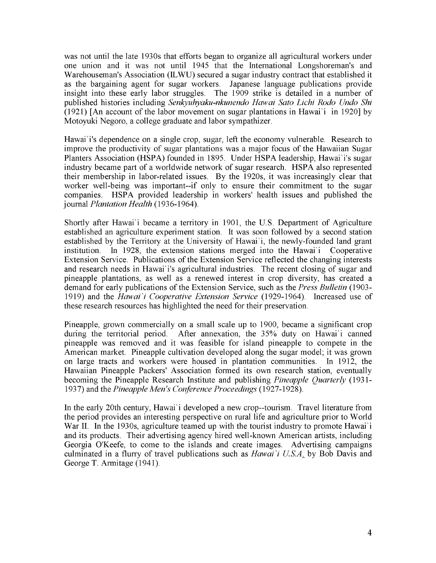was not until the late 1930s that efforts began to organize all agricultural workers under one union and it was not until 1945 that the International Longshoreman's and Warehouseman's Association (ILWU) secured a sugar industry contract that established it as the bargaining agent for sugar workers. Japanese language publications provide insight into these early labor struggles. The 1909 strike is detailed in a number of published histories including *Senkyuhyaku-nkunendo Hawai Sato Lichi Rodo Undo Shi* (1921) [An account of the labor movement on sugar plantations in Hawai'i in 1920] by Motoyuki Negoro, a college graduate and labor sympathizer.

Hawai'i's dependence on a single crop, sugar, left the economy vulnerable. Research to improve the productivity of sugar plantations was a major focus of the Hawaiian Sugar Planters Association (HSPA) founded in 1895. Under HSPA leadership, Hawai'i's sugar industry became part of a worldwide network of sugar research. HSPA also represented their membership in labor-related issues. By the 1920s, it was increasingly clear that worker well-being was important--if only to ensure their commitment to the sugar companies. HSPA provided leadership in workers' health issues and published the journal *Plantation Health* (1936-1964).

Shortly after Hawai'i became a territory in 1901, the U.S. Department of Agriculture established an agriculture experiment station. It was soon followed by a second station established by the Territory at the University of Hawai'i, the newly-founded land grant institution. In 1928, the extension stations merged into the Hawai'i Cooperative Extension Service. Publications of the Extension Service reflected the changing interests and research needs in Hawai'i's agricultural industries. The recent closing of sugar and pineapple plantations, as well as a renewed interest in crop diversity, has created a demand for early publications of the Extension Service, such as the *Press Bulletin* (1903 1919) and the *Hawai i Cooperative Extension Service* (1929-1964). Increased use of these research resources has highlighted the need for their preservation.

Pineapple, grown commercially on a small scale up to 1900, became a significant crop during the territorial period. After annexation, the 35% duty on Hawai'i canned pineapple was removed and it was feasible for island pineapple to compete in the American market. Pineapple cultivation developed along the sugar model; it was grown on large tracts and workers were housed in plantation communities. In 1912, the Hawaiian Pineapple Packers' Association formed its own research station, eventually becoming the Pineapple Research Institute and publishing *Pineapple Quarterly* (1931 1937) and the *Pineapple Men's Conference Proceedings* (1927-1928).

In the early 20th century, Hawai'i developed a new crop--tourism. Travel literature from the period provides an interesting perspective on rural life and agriculture prior to World War II. In the 1930s, agriculture teamed up with the tourist industry to promote Hawai'i and its products. Their advertising agency hired well-known American artists, including Georgia O'Keefe, to come to the islands and create images. Advertising campaigns culminated in a flurry of travel publications such as *Hawai i U.S.A*. by Bob Davis and George T. Armitage (1941).